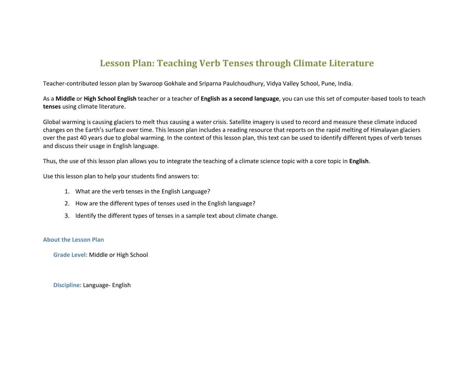### **Lesson Plan: Teaching Verb Tenses through Climate Literature**

Teacher-contributed lesson plan by Swaroop Gokhale and Sriparna Paulchoudhury, Vidya Valley School, Pune, India.

As a **Middle** or **High School English** teacher or a teacher of **English as a second language**, you can use this set of computer-based tools to teach **tenses** using climate literature.

Global warming is causing glaciers to melt thus causing a water crisis. Satellite imagery is used to record and measure these climate induced changes on the Earth's surface over time. This lesson plan includes a reading resource that reports on the rapid melting of Himalayan glaciers over the past 40 years due to global warming. In the context of this lesson plan, this text can be used to identify different types of verb tenses and discuss their usage in English language.

Thus, the use of this lesson plan allows you to integrate the teaching of a climate science topic with a core topic in **English**.

Use this lesson plan to help your students find answers to:

- 1. What are the verb tenses in the English Language?
- 2. How are the different types of tenses used in the English language?
- 3. Identify the different types of tenses in a sample text about climate change.

#### **About the Lesson Plan**

**Grade Level:** Middle or High School

**Discipline:** Language- English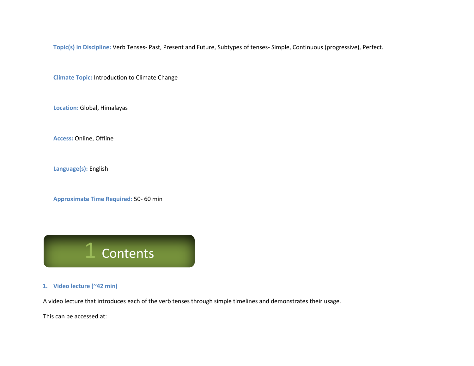**Topic(s) in Discipline:** Verb Tenses- Past, Present and Future, Subtypes of tenses- Simple, Continuous (progressive), Perfect.

**Climate Topic:** Introduction to Climate Change

**Location:** Global, Himalayas

**Access:** Online, Offline

**Language(s):** English

**Approximate Time Required:** 50- 60 min

**Contents** 

**1. Video lecture (~42 min)**

A video lecture that introduces each of the verb tenses through simple timelines and demonstrates their usage.

This can be accessed at: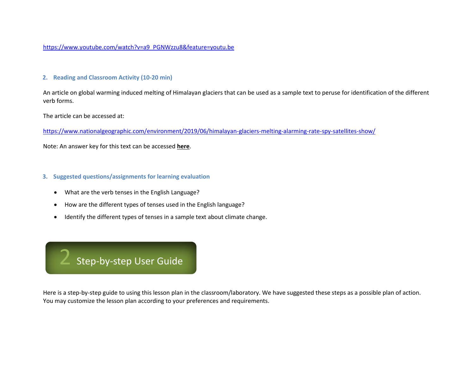[https://www.youtube.com/watch?v=a9\\_PGNWzzu8&feature=youtu.be](https://www.youtube.com/watch?v=a9_PGNWzzu8&feature=youtu.be)

#### **2. Reading and Classroom Activity (10-20 min)**

An article on global warming induced melting of Himalayan glaciers that can be used as a sample text to peruse for identification of the different verb forms.

The article can be accessed at:

<https://www.nationalgeographic.com/environment/2019/06/himalayan-glaciers-melting-alarming-rate-spy-satellites-show/>

Note: An answer key for this text can be accessed **here**.

#### **3. Suggested questions/assignments for learning evaluation**

- What are the verb tenses in the English Language?
- How are the different types of tenses used in the English language?
- Identify the different types of tenses in a sample text about climate change.

### 2 Step-by-step User Guide

Here is a step-by-step guide to using this lesson plan in the classroom/laboratory. We have suggested these steps as a possible plan of action. You may customize the lesson plan according to your preferences and requirements.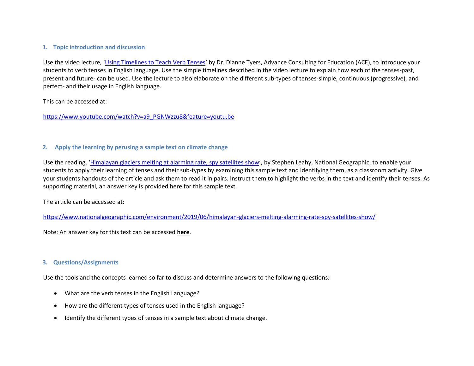#### **1. Topic introduction and discussion**

Use the video lecture, '[Using Timelines to Teach Verb Tenses](https://www.youtube.com/watch?v=a9_PGNWzzu8&feature=youtu.be)' by Dr. Dianne Tyers, Advance Consulting for Education (ACE), to introduce your students to verb tenses in English language. Use the simple timelines described in the video lecture to explain how each of the tenses-past, present and future- can be used. Use the lecture to also elaborate on the different sub-types of tenses-simple, continuous (progressive), and perfect- and their usage in English language.

This can be accessed at:

[https://www.youtube.com/watch?v=a9\\_PGNWzzu8&feature=youtu.be](https://www.youtube.com/watch?v=a9_PGNWzzu8&feature=youtu.be)

#### **2. Apply the learning by perusing a sample text on climate change**

Use the reading, '[Himalayan glaciers melting at alarming rate, spy satellites show](https://www.nationalgeographic.com/environment/2019/06/himalayan-glaciers-melting-alarming-rate-spy-satellites-show/)', by Stephen Leahy, National Geographic, to enable your students to apply their learning of tenses and their sub-types by examining this sample text and identifying them, as a classroom activity. Give your students handouts of the article and ask them to read it in pairs. Instruct them to highlight the verbs in the text and identify their tenses. As supporting material, an answer key is provided here for this sample text.

The article can be accessed at:

<https://www.nationalgeographic.com/environment/2019/06/himalayan-glaciers-melting-alarming-rate-spy-satellites-show/>

Note: An answer key for this text can be accessed **here**.

#### **3. Questions/Assignments**

Use the tools and the concepts learned so far to discuss and determine answers to the following questions:

- What are the verb tenses in the English Language?
- How are the different types of tenses used in the English language?
- Identify the different types of tenses in a sample text about climate change.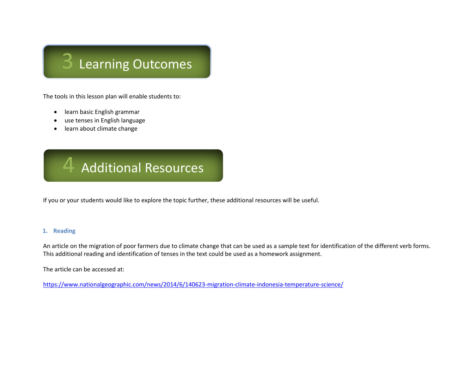## 3 Learning Outcomes

The tools in this lesson plan will enable students to:

- learn basic English grammar
- use tenses in English language
- learn about climate change



If you or your students would like to explore the topic further, these additional resources will be useful.

#### **1. Reading**

An article on the migration of poor farmers due to climate change that can be used as a sample text for identification of the different verb forms. This additional reading and identification of tenses in the text could be used as a homework assignment.

The article can be accessed at:

<https://www.nationalgeographic.com/news/2014/6/140623-migration-climate-indonesia-temperature-science/>